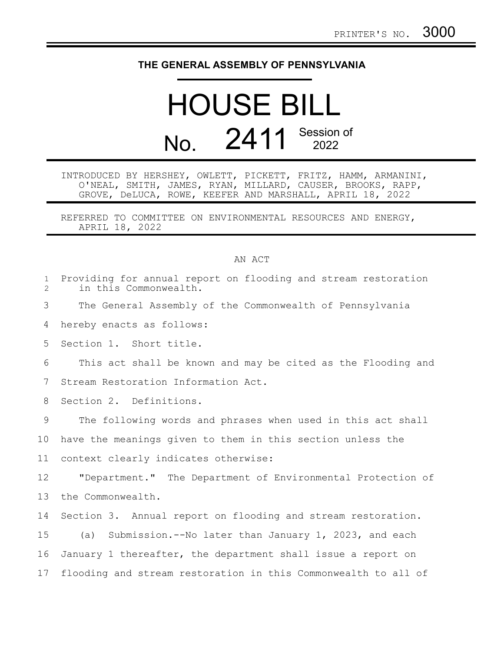## **THE GENERAL ASSEMBLY OF PENNSYLVANIA**

## HOUSE BILL No. 2411 Session of

INTRODUCED BY HERSHEY, OWLETT, PICKETT, FRITZ, HAMM, ARMANINI, O'NEAL, SMITH, JAMES, RYAN, MILLARD, CAUSER, BROOKS, RAPP, GROVE, DeLUCA, ROWE, KEEFER AND MARSHALL, APRIL 18, 2022

REFERRED TO COMMITTEE ON ENVIRONMENTAL RESOURCES AND ENERGY, APRIL 18, 2022

## AN ACT

| $\mathbf{1}$<br>$\overline{2}$ | Providing for annual report on flooding and stream restoration<br>in this Commonwealth. |
|--------------------------------|-----------------------------------------------------------------------------------------|
| 3                              | The General Assembly of the Commonwealth of Pennsylvania                                |
| 4                              | hereby enacts as follows:                                                               |
| 5                              | Section 1. Short title.                                                                 |
| 6                              | This act shall be known and may be cited as the Flooding and                            |
| 7                              | Stream Restoration Information Act.                                                     |
| 8                              | Section 2. Definitions.                                                                 |
| $\mathcal{G}$                  | The following words and phrases when used in this act shall                             |
| 10                             | have the meanings given to them in this section unless the                              |
| 11                             | context clearly indicates otherwise:                                                    |
| 12                             | "Department." The Department of Environmental Protection of                             |
| 13                             | the Commonwealth.                                                                       |
| 14                             | Section 3. Annual report on flooding and stream restoration.                            |
| 15                             | Submission.--No later than January 1, 2023, and each<br>(a)                             |
| 16                             | January 1 thereafter, the department shall issue a report on                            |
| 17                             | flooding and stream restoration in this Commonwealth to all of                          |
|                                |                                                                                         |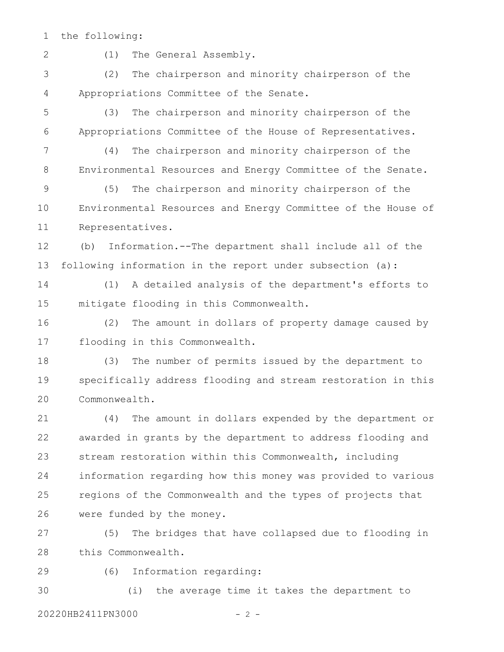the following: 1

2

(1) The General Assembly.

(2) The chairperson and minority chairperson of the Appropriations Committee of the Senate. 3 4

(3) The chairperson and minority chairperson of the Appropriations Committee of the House of Representatives. 5 6

(4) The chairperson and minority chairperson of the Environmental Resources and Energy Committee of the Senate. 7 8

(5) The chairperson and minority chairperson of the Environmental Resources and Energy Committee of the House of Representatives. 9 10 11

(b) Information.--The department shall include all of the following information in the report under subsection (a): 12 13

(1) A detailed analysis of the department's efforts to mitigate flooding in this Commonwealth. 14 15

(2) The amount in dollars of property damage caused by flooding in this Commonwealth. 16 17

(3) The number of permits issued by the department to specifically address flooding and stream restoration in this Commonwealth. 18 19 20

(4) The amount in dollars expended by the department or awarded in grants by the department to address flooding and stream restoration within this Commonwealth, including information regarding how this money was provided to various regions of the Commonwealth and the types of projects that were funded by the money. 21 22 23 24 25 26

(5) The bridges that have collapsed due to flooding in this Commonwealth. 27 28

29

(6) Information regarding:

(i) the average time it takes the department to 20220HB2411PN3000 - 2 - 30